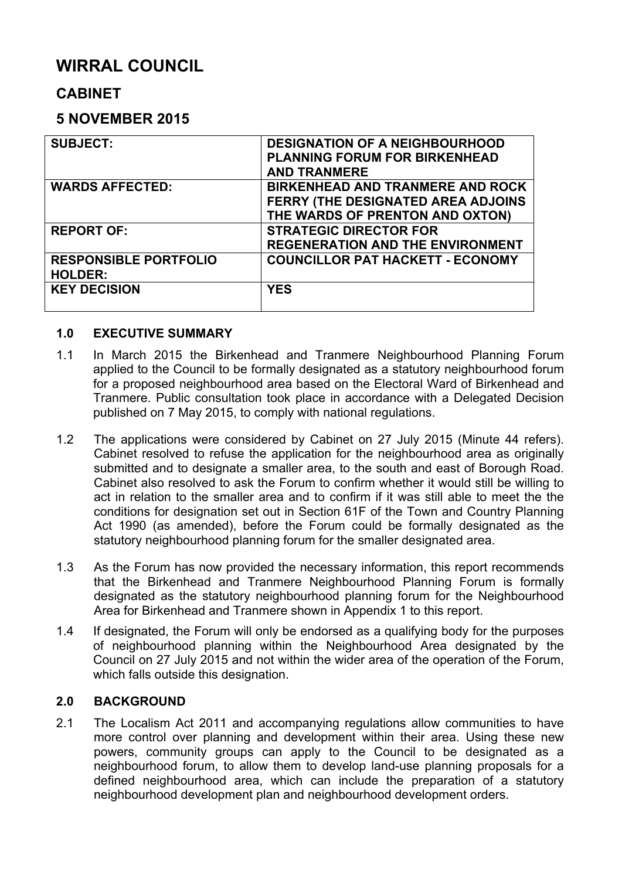# **WIRRAL COUNCIL**

# **CABINET**

# **5 NOVEMBER 2015**

| <b>SUBJECT:</b>              | <b>DESIGNATION OF A NEIGHBOURHOOD</b>   |
|------------------------------|-----------------------------------------|
|                              | <b>PLANNING FORUM FOR BIRKENHEAD</b>    |
|                              | <b>AND TRANMERE</b>                     |
| <b>WARDS AFFECTED:</b>       | <b>BIRKENHEAD AND TRANMERE AND ROCK</b> |
|                              | FERRY (THE DESIGNATED AREA ADJOINS      |
|                              | THE WARDS OF PRENTON AND OXTON)         |
| <b>REPORT OF:</b>            | <b>STRATEGIC DIRECTOR FOR</b>           |
|                              | <b>REGENERATION AND THE ENVIRONMENT</b> |
| <b>RESPONSIBLE PORTFOLIO</b> | <b>COUNCILLOR PAT HACKETT - ECONOMY</b> |
| <b>HOLDER:</b>               |                                         |
| <b>KEY DECISION</b>          | <b>YES</b>                              |
|                              |                                         |

#### **1.0 EXECUTIVE SUMMARY**

- 1.1 In March 2015 the Birkenhead and Tranmere Neighbourhood Planning Forum applied to the Council to be formally designated as a statutory neighbourhood forum for a proposed neighbourhood area based on the Electoral Ward of Birkenhead and Tranmere. Public consultation took place in accordance with a Delegated Decision published on 7 May 2015, to comply with national regulations.
- 1.2 The applications were considered by Cabinet on 27 July 2015 (Minute 44 refers). Cabinet resolved to refuse the application for the neighbourhood area as originally submitted and to designate a smaller area, to the south and east of Borough Road. Cabinet also resolved to ask the Forum to confirm whether it would still be willing to act in relation to the smaller area and to confirm if it was still able to meet the the conditions for designation set out in Section 61F of the Town and Country Planning Act 1990 (as amended), before the Forum could be formally designated as the statutory neighbourhood planning forum for the smaller designated area.
- 1.3 As the Forum has now provided the necessary information, this report recommends that the Birkenhead and Tranmere Neighbourhood Planning Forum is formally designated as the statutory neighbourhood planning forum for the Neighbourhood Area for Birkenhead and Tranmere shown in Appendix 1 to this report.
- 1.4 If designated, the Forum will only be endorsed as a qualifying body for the purposes of neighbourhood planning within the Neighbourhood Area designated by the Council on 27 July 2015 and not within the wider area of the operation of the Forum, which falls outside this designation.

#### **2.0 BACKGROUND**

2.1 The Localism Act 2011 and accompanying regulations allow communities to have more control over planning and development within their area. Using these new powers, community groups can apply to the Council to be designated as a neighbourhood forum, to allow them to develop land-use planning proposals for a defined neighbourhood area, which can include the preparation of a statutory neighbourhood development plan and neighbourhood development orders.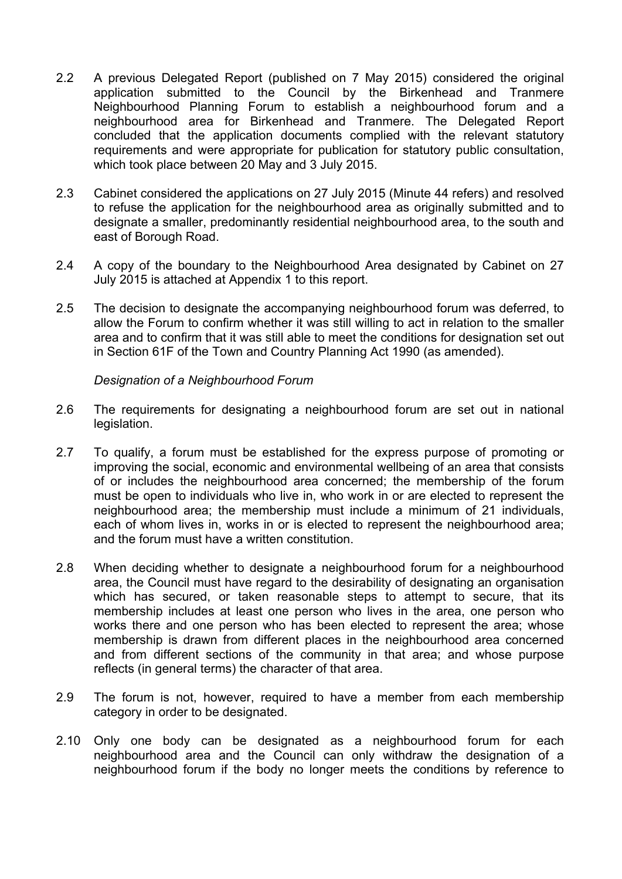- 2.2 A previous Delegated Report (published on 7 May 2015) considered the original application submitted to the Council by the Birkenhead and Tranmere Neighbourhood Planning Forum to establish a neighbourhood forum and a neighbourhood area for Birkenhead and Tranmere. The Delegated Report concluded that the application documents complied with the relevant statutory requirements and were appropriate for publication for statutory public consultation, which took place between 20 May and 3 July 2015.
- 2.3 Cabinet considered the applications on 27 July 2015 (Minute 44 refers) and resolved to refuse the application for the neighbourhood area as originally submitted and to designate a smaller, predominantly residential neighbourhood area, to the south and east of Borough Road.
- 2.4 A copy of the boundary to the Neighbourhood Area designated by Cabinet on 27 July 2015 is attached at Appendix 1 to this report.
- 2.5 The decision to designate the accompanying neighbourhood forum was deferred, to allow the Forum to confirm whether it was still willing to act in relation to the smaller area and to confirm that it was still able to meet the conditions for designation set out in Section 61F of the Town and Country Planning Act 1990 (as amended).

*Designation of a Neighbourhood Forum*

- 2.6 The requirements for designating a neighbourhood forum are set out in national legislation.
- 2.7 To qualify, a forum must be established for the express purpose of promoting or improving the social, economic and environmental wellbeing of an area that consists of or includes the neighbourhood area concerned; the membership of the forum must be open to individuals who live in, who work in or are elected to represent the neighbourhood area; the membership must include a minimum of 21 individuals, each of whom lives in, works in or is elected to represent the neighbourhood area; and the forum must have a written constitution.
- 2.8 When deciding whether to designate a neighbourhood forum for a neighbourhood area, the Council must have regard to the desirability of designating an organisation which has secured, or taken reasonable steps to attempt to secure, that its membership includes at least one person who lives in the area, one person who works there and one person who has been elected to represent the area; whose membership is drawn from different places in the neighbourhood area concerned and from different sections of the community in that area; and whose purpose reflects (in general terms) the character of that area.
- 2.9 The forum is not, however, required to have a member from each membership category in order to be designated.
- 2.10 Only one body can be designated as a neighbourhood forum for each neighbourhood area and the Council can only withdraw the designation of a neighbourhood forum if the body no longer meets the conditions by reference to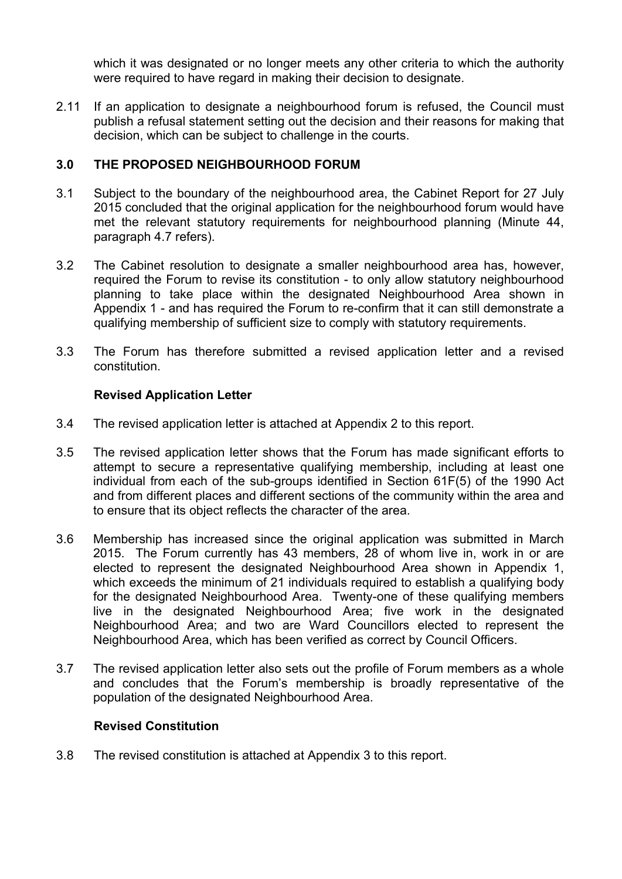which it was designated or no longer meets any other criteria to which the authority were required to have regard in making their decision to designate.

2.11 If an application to designate a neighbourhood forum is refused, the Council must publish a refusal statement setting out the decision and their reasons for making that decision, which can be subject to challenge in the courts.

# **3.0 THE PROPOSED NEIGHBOURHOOD FORUM**

- 3.1 Subject to the boundary of the neighbourhood area, the Cabinet Report for 27 July 2015 concluded that the original application for the neighbourhood forum would have met the relevant statutory requirements for neighbourhood planning (Minute 44, paragraph 4.7 refers).
- 3.2 The Cabinet resolution to designate a smaller neighbourhood area has, however, required the Forum to revise its constitution - to only allow statutory neighbourhood planning to take place within the designated Neighbourhood Area shown in Appendix 1 - and has required the Forum to re-confirm that it can still demonstrate a qualifying membership of sufficient size to comply with statutory requirements.
- 3.3 The Forum has therefore submitted a revised application letter and a revised constitution.

# **Revised Application Letter**

- 3.4 The revised application letter is attached at Appendix 2 to this report.
- 3.5 The revised application letter shows that the Forum has made significant efforts to attempt to secure a representative qualifying membership, including at least one individual from each of the sub-groups identified in Section 61F(5) of the 1990 Act and from different places and different sections of the community within the area and to ensure that its object reflects the character of the area.
- 3.6 Membership has increased since the original application was submitted in March 2015. The Forum currently has 43 members, 28 of whom live in, work in or are elected to represent the designated Neighbourhood Area shown in Appendix 1, which exceeds the minimum of 21 individuals required to establish a qualifying body for the designated Neighbourhood Area. Twenty-one of these qualifying members live in the designated Neighbourhood Area; five work in the designated Neighbourhood Area; and two are Ward Councillors elected to represent the Neighbourhood Area, which has been verified as correct by Council Officers.
- 3.7 The revised application letter also sets out the profile of Forum members as a whole and concludes that the Forum's membership is broadly representative of the population of the designated Neighbourhood Area.

#### **Revised Constitution**

3.8 The revised constitution is attached at Appendix 3 to this report.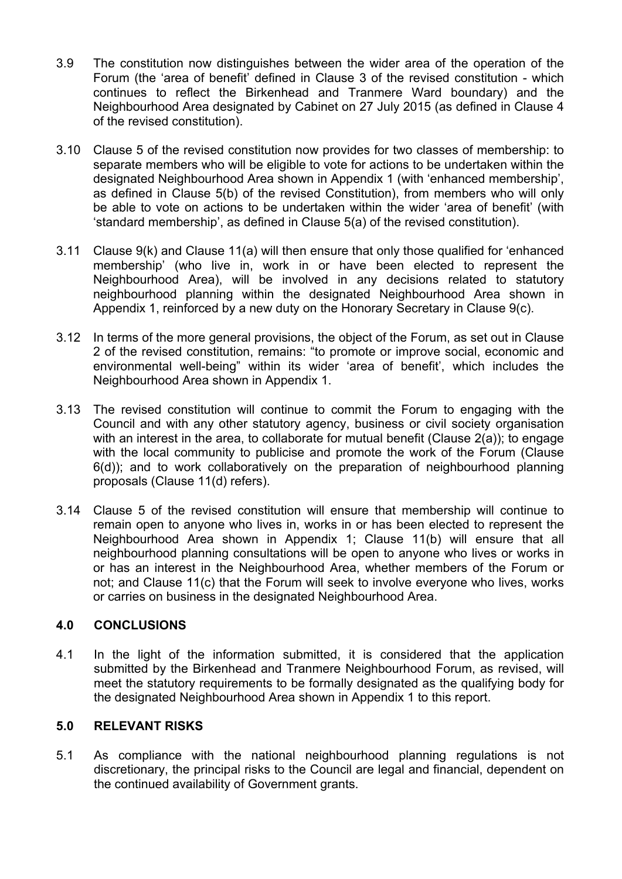- 3.9 The constitution now distinguishes between the wider area of the operation of the Forum (the 'area of benefit' defined in Clause 3 of the revised constitution - which continues to reflect the Birkenhead and Tranmere Ward boundary) and the Neighbourhood Area designated by Cabinet on 27 July 2015 (as defined in Clause 4 of the revised constitution).
- 3.10 Clause 5 of the revised constitution now provides for two classes of membership: to separate members who will be eligible to vote for actions to be undertaken within the designated Neighbourhood Area shown in Appendix 1 (with 'enhanced membership', as defined in Clause 5(b) of the revised Constitution), from members who will only be able to vote on actions to be undertaken within the wider 'area of benefit' (with 'standard membership', as defined in Clause 5(a) of the revised constitution).
- 3.11 Clause 9(k) and Clause 11(a) will then ensure that only those qualified for 'enhanced membership' (who live in, work in or have been elected to represent the Neighbourhood Area), will be involved in any decisions related to statutory neighbourhood planning within the designated Neighbourhood Area shown in Appendix 1, reinforced by a new duty on the Honorary Secretary in Clause 9(c).
- 3.12 In terms of the more general provisions, the object of the Forum, as set out in Clause 2 of the revised constitution, remains: "to promote or improve social, economic and environmental well-being" within its wider 'area of benefit', which includes the Neighbourhood Area shown in Appendix 1.
- 3.13 The revised constitution will continue to commit the Forum to engaging with the Council and with any other statutory agency, business or civil society organisation with an interest in the area, to collaborate for mutual benefit (Clause 2(a)); to engage with the local community to publicise and promote the work of the Forum (Clause 6(d)); and to work collaboratively on the preparation of neighbourhood planning proposals (Clause 11(d) refers).
- 3.14 Clause 5 of the revised constitution will ensure that membership will continue to remain open to anyone who lives in, works in or has been elected to represent the Neighbourhood Area shown in Appendix 1; Clause 11(b) will ensure that all neighbourhood planning consultations will be open to anyone who lives or works in or has an interest in the Neighbourhood Area, whether members of the Forum or not; and Clause 11(c) that the Forum will seek to involve everyone who lives, works or carries on business in the designated Neighbourhood Area.

#### **4.0 CONCLUSIONS**

4.1 In the light of the information submitted, it is considered that the application submitted by the Birkenhead and Tranmere Neighbourhood Forum, as revised, will meet the statutory requirements to be formally designated as the qualifying body for the designated Neighbourhood Area shown in Appendix 1 to this report.

# **5.0 RELEVANT RISKS**

5.1 As compliance with the national neighbourhood planning regulations is not discretionary, the principal risks to the Council are legal and financial, dependent on the continued availability of Government grants.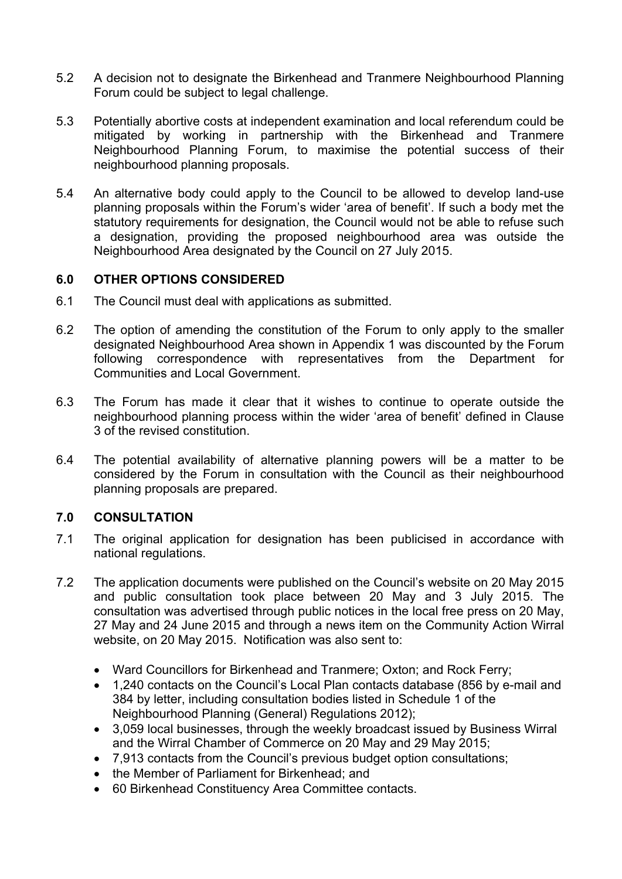- 5.2 A decision not to designate the Birkenhead and Tranmere Neighbourhood Planning Forum could be subject to legal challenge.
- 5.3 Potentially abortive costs at independent examination and local referendum could be mitigated by working in partnership with the Birkenhead and Tranmere Neighbourhood Planning Forum, to maximise the potential success of their neighbourhood planning proposals.
- 5.4 An alternative body could apply to the Council to be allowed to develop land-use planning proposals within the Forum's wider 'area of benefit'. If such a body met the statutory requirements for designation, the Council would not be able to refuse such a designation, providing the proposed neighbourhood area was outside the Neighbourhood Area designated by the Council on 27 July 2015.

#### **6.0 OTHER OPTIONS CONSIDERED**

- 6.1 The Council must deal with applications as submitted.
- 6.2 The option of amending the constitution of the Forum to only apply to the smaller designated Neighbourhood Area shown in Appendix 1 was discounted by the Forum following correspondence with representatives from the Department for Communities and Local Government.
- 6.3 The Forum has made it clear that it wishes to continue to operate outside the neighbourhood planning process within the wider 'area of benefit' defined in Clause 3 of the revised constitution.
- 6.4 The potential availability of alternative planning powers will be a matter to be considered by the Forum in consultation with the Council as their neighbourhood planning proposals are prepared.

#### **7.0 CONSULTATION**

- 7.1 The original application for designation has been publicised in accordance with national regulations.
- 7.2 The application documents were published on the Council's website on 20 May 2015 and public consultation took place between 20 May and 3 July 2015. The consultation was advertised through public notices in the local free press on 20 May, 27 May and 24 June 2015 and through a news item on the Community Action Wirral website, on 20 May 2015. Notification was also sent to:
	- Ward Councillors for Birkenhead and Tranmere; Oxton; and Rock Ferry;
	- 1,240 contacts on the Council's Local Plan contacts database (856 by e-mail and 384 by letter, including consultation bodies listed in Schedule 1 of the Neighbourhood Planning (General) Regulations 2012);
	- 3,059 local businesses, through the weekly broadcast issued by Business Wirral and the Wirral Chamber of Commerce on 20 May and 29 May 2015;
	- 7,913 contacts from the Council's previous budget option consultations;
	- the Member of Parliament for Birkenhead; and
	- 60 Birkenhead Constituency Area Committee contacts.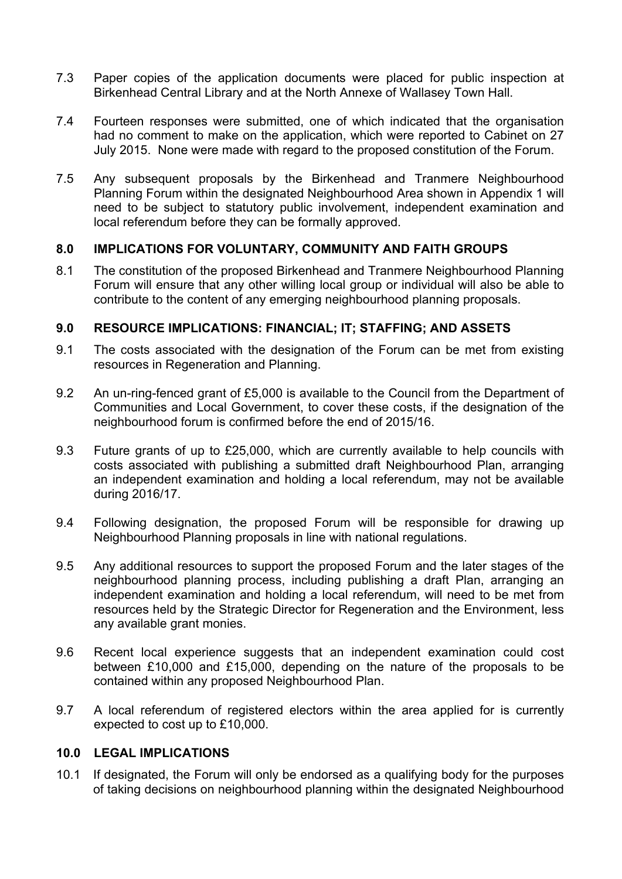- 7.3 Paper copies of the application documents were placed for public inspection at Birkenhead Central Library and at the North Annexe of Wallasey Town Hall.
- 7.4 Fourteen responses were submitted, one of which indicated that the organisation had no comment to make on the application, which were reported to Cabinet on 27 July 2015. None were made with regard to the proposed constitution of the Forum.
- 7.5 Any subsequent proposals by the Birkenhead and Tranmere Neighbourhood Planning Forum within the designated Neighbourhood Area shown in Appendix 1 will need to be subject to statutory public involvement, independent examination and local referendum before they can be formally approved.

# **8.0 IMPLICATIONS FOR VOLUNTARY, COMMUNITY AND FAITH GROUPS**

8.1 The constitution of the proposed Birkenhead and Tranmere Neighbourhood Planning Forum will ensure that any other willing local group or individual will also be able to contribute to the content of any emerging neighbourhood planning proposals.

#### **9.0 RESOURCE IMPLICATIONS: FINANCIAL; IT; STAFFING; AND ASSETS**

- 9.1 The costs associated with the designation of the Forum can be met from existing resources in Regeneration and Planning.
- 9.2 An un-ring-fenced grant of £5,000 is available to the Council from the Department of Communities and Local Government, to cover these costs, if the designation of the neighbourhood forum is confirmed before the end of 2015/16.
- 9.3 Future grants of up to £25,000, which are currently available to help councils with costs associated with publishing a submitted draft Neighbourhood Plan, arranging an independent examination and holding a local referendum, may not be available during 2016/17.
- 9.4 Following designation, the proposed Forum will be responsible for drawing up Neighbourhood Planning proposals in line with national regulations.
- 9.5 Any additional resources to support the proposed Forum and the later stages of the neighbourhood planning process, including publishing a draft Plan, arranging an independent examination and holding a local referendum, will need to be met from resources held by the Strategic Director for Regeneration and the Environment, less any available grant monies.
- 9.6 Recent local experience suggests that an independent examination could cost between £10,000 and £15,000, depending on the nature of the proposals to be contained within any proposed Neighbourhood Plan.
- 9.7 A local referendum of registered electors within the area applied for is currently expected to cost up to £10,000.

#### **10.0 LEGAL IMPLICATIONS**

10.1 If designated, the Forum will only be endorsed as a qualifying body for the purposes of taking decisions on neighbourhood planning within the designated Neighbourhood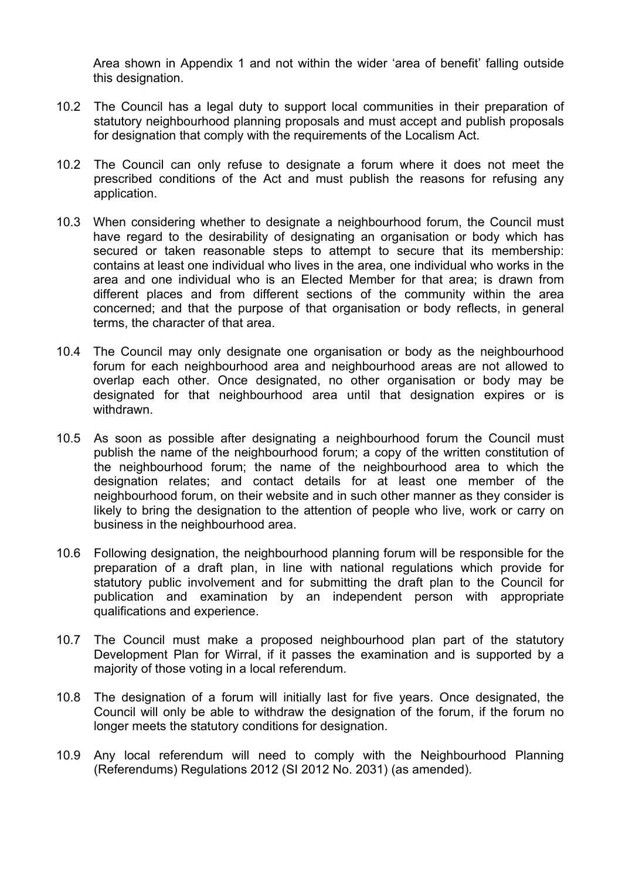Area shown in Appendix 1 and not within the wider 'area of benefit' falling outside this designation.

- 10.2 The Council has a legal duty to support local communities in their preparation of statutory neighbourhood planning proposals and must accept and publish proposals for designation that comply with the requirements of the Localism Act.
- 10.2 The Council can only refuse to designate a forum where it does not meet the prescribed conditions of the Act and must publish the reasons for refusing any application.
- 10.3 When considering whether to designate a neighbourhood forum, the Council must have regard to the desirability of designating an organisation or body which has secured or taken reasonable steps to attempt to secure that its membership: contains at least one individual who lives in the area, one individual who works in the area and one individual who is an Elected Member for that area; is drawn from different places and from different sections of the community within the area concerned; and that the purpose of that organisation or body reflects, in general terms, the character of that area.
- 10.4 The Council may only designate one organisation or body as the neighbourhood forum for each neighbourhood area and neighbourhood areas are not allowed to overlap each other. Once designated, no other organisation or body may be designated for that neighbourhood area until that designation expires or is withdrawn.
- 10.5 As soon as possible after designating a neighbourhood forum the Council must publish the name of the neighbourhood forum; a copy of the written constitution of the neighbourhood forum; the name of the neighbourhood area to which the designation relates; and contact details for at least one member of the neighbourhood forum, on their website and in such other manner as they consider is likely to bring the designation to the attention of people who live, work or carry on business in the neighbourhood area.
- 10.6 Following designation, the neighbourhood planning forum will be responsible for the preparation of a draft plan, in line with national regulations which provide for statutory public involvement and for submitting the draft plan to the Council for publication and examination by an independent person with appropriate qualifications and experience.
- 10.7 The Council must make a proposed neighbourhood plan part of the statutory Development Plan for Wirral, if it passes the examination and is supported by a majority of those voting in a local referendum.
- 10.8 The designation of a forum will initially last for five years. Once designated, the Council will only be able to withdraw the designation of the forum, if the forum no longer meets the statutory conditions for designation.
- 10.9 Any local referendum will need to comply with the Neighbourhood Planning (Referendums) Regulations 2012 (SI 2012 No. 2031) (as amended).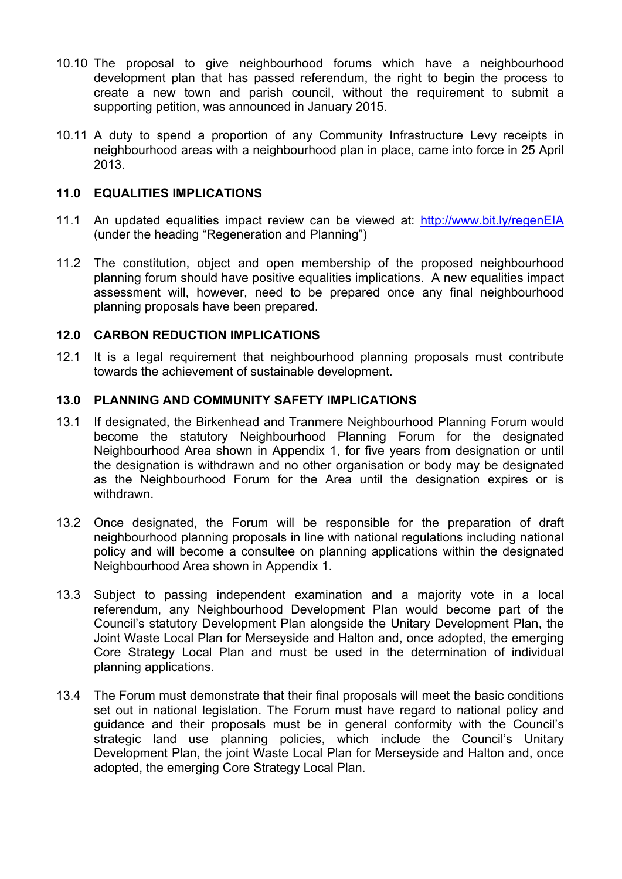- 10.10 The proposal to give neighbourhood forums which have a neighbourhood development plan that has passed referendum, the right to begin the process to create a new town and parish council, without the requirement to submit a supporting petition, was announced in January 2015.
- 10.11 A duty to spend a proportion of any Community Infrastructure Levy receipts in neighbourhood areas with a neighbourhood plan in place, came into force in 25 April 2013.

### **11.0 EQUALITIES IMPLICATIONS**

- 11.1 An updated equalities impact review can be viewed at: <http://www.bit.ly/regenEIA> (under the heading "Regeneration and Planning")
- 11.2 The constitution, object and open membership of the proposed neighbourhood planning forum should have positive equalities implications. A new equalities impact assessment will, however, need to be prepared once any final neighbourhood planning proposals have been prepared.

# **12.0 CARBON REDUCTION IMPLICATIONS**

12.1 It is a legal requirement that neighbourhood planning proposals must contribute towards the achievement of sustainable development.

# **13.0 PLANNING AND COMMUNITY SAFETY IMPLICATIONS**

- 13.1 If designated, the Birkenhead and Tranmere Neighbourhood Planning Forum would become the statutory Neighbourhood Planning Forum for the designated Neighbourhood Area shown in Appendix 1, for five years from designation or until the designation is withdrawn and no other organisation or body may be designated as the Neighbourhood Forum for the Area until the designation expires or is withdrawn.
- 13.2 Once designated, the Forum will be responsible for the preparation of draft neighbourhood planning proposals in line with national regulations including national policy and will become a consultee on planning applications within the designated Neighbourhood Area shown in Appendix 1.
- 13.3 Subject to passing independent examination and a majority vote in a local referendum, any Neighbourhood Development Plan would become part of the Council's statutory Development Plan alongside the Unitary Development Plan, the Joint Waste Local Plan for Merseyside and Halton and, once adopted, the emerging Core Strategy Local Plan and must be used in the determination of individual planning applications.
- 13.4 The Forum must demonstrate that their final proposals will meet the basic conditions set out in national legislation. The Forum must have regard to national policy and guidance and their proposals must be in general conformity with the Council's strategic land use planning policies, which include the Council's Unitary Development Plan, the joint Waste Local Plan for Merseyside and Halton and, once adopted, the emerging Core Strategy Local Plan.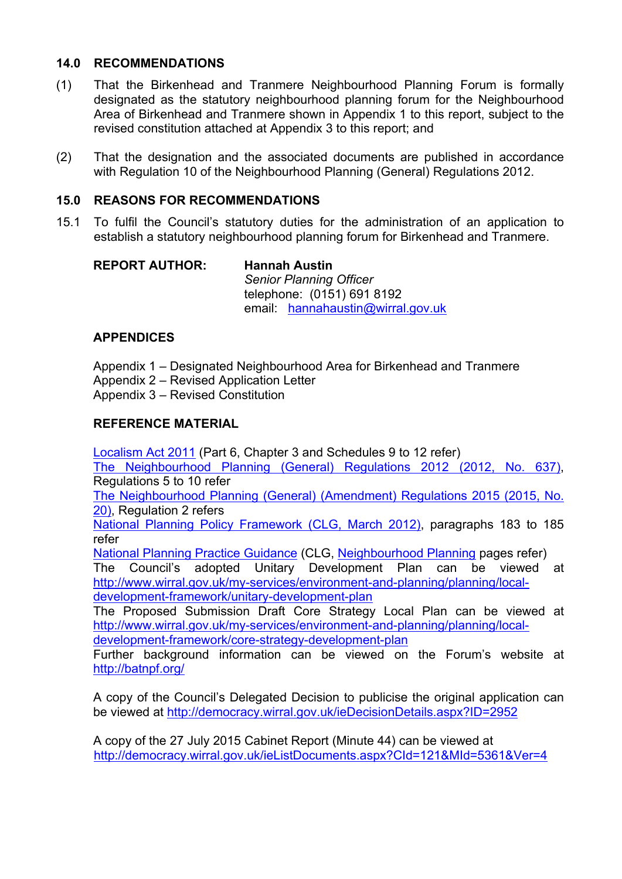# **14.0 RECOMMENDATIONS**

- (1) That the Birkenhead and Tranmere Neighbourhood Planning Forum is formally designated as the statutory neighbourhood planning forum for the Neighbourhood Area of Birkenhead and Tranmere shown in Appendix 1 to this report, subject to the revised constitution attached at Appendix 3 to this report; and
- (2) That the designation and the associated documents are published in accordance with Regulation 10 of the Neighbourhood Planning (General) Regulations 2012.

### **15.0 REASONS FOR RECOMMENDATIONS**

15.1 To fulfil the Council's statutory duties for the administration of an application to establish a statutory neighbourhood planning forum for Birkenhead and Tranmere.

| <b>REPORT AUTHOR:</b> | <b>Hannah Austin</b>              |  |
|-----------------------|-----------------------------------|--|
|                       | <b>Senior Planning Officer</b>    |  |
|                       | telephone: (0151) 691 8192        |  |
|                       | email: hannahaustin@wirral.gov.uk |  |

# **APPENDICES**

Appendix 1 – Designated Neighbourhood Area for Birkenhead and Tranmere Appendix 2 – Revised Application Letter Appendix 3 – Revised Constitution

# **REFERENCE MATERIAL**

[Localism](http://www.legislation.gov.uk/ukpga/2011/20/contents/enacted) Act 2011 (Part 6, Chapter 3 and Schedules 9 to 12 refer) The [Neighbourhood](http://www.legislation.gov.uk/uksi/2012/637/made/data.pdf) Planning (General) Regulations 2012 (2012, No. 637), Regulations 5 to 10 refer

The [Neighbourhood](http://www.legislation.gov.uk/uksi/2015/20/pdfs/uksi_20150020_en.pdf) Planning (General) (Amendment) Regulations 2015 (2015, No. [20\),](http://www.legislation.gov.uk/uksi/2015/20/pdfs/uksi_20150020_en.pdf) Regulation 2 refers

National Planning Policy [Framework](http://planningguidance.planningportal.gov.uk/) (CLG, March 2012), paragraphs 183 to 185 refer

National Planning Practice [Guidance](http://planningguidance.planningportal.gov.uk/) (CLG, [Neighbourhood](http://planningguidance.planningportal.gov.uk/blog/guidance/neighbourhood-planning/) Planning pages refer)

The Council's adopted Unitary Development Plan can be viewed at [http://www.wirral.gov.uk/my-services/environment-and-planning/planning/local](http://www.wirral.gov.uk/my-services/environment-and-planning/planning/local-development-framework/unitary-development-plan)[development-framework/unitary-development-plan](http://www.wirral.gov.uk/my-services/environment-and-planning/planning/local-development-framework/unitary-development-plan)

The Proposed Submission Draft Core Strategy Local Plan can be viewed at [http://www.wirral.gov.uk/my-services/environment-and-planning/planning/local](http://www.wirral.gov.uk/my-services/environment-and-planning/planning/local-development-framework/core-strategy-development-plan)[development-framework/core-strategy-development-plan](http://www.wirral.gov.uk/my-services/environment-and-planning/planning/local-development-framework/core-strategy-development-plan)

Further background information can be viewed on the Forum's website at <http://batnpf.org/>

A copy of the Council's Delegated Decision to publicise the original application can be viewed at <http://democracy.wirral.gov.uk/ieDecisionDetails.aspx?ID=2952>

A copy of the 27 July 2015 Cabinet Report (Minute 44) can be viewed at <http://democracy.wirral.gov.uk/ieListDocuments.aspx?CId=121&MId=5361&Ver=4>